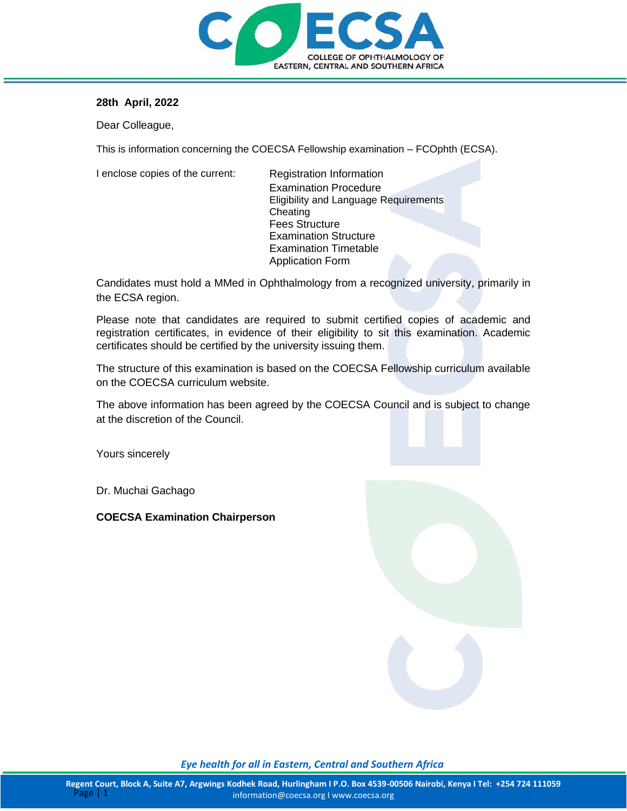

### **28th April, 2022**

Dear Colleague,

This is information concerning the COECSA Fellowship examination – FCOphth (ECSA).

I enclose copies of the current: Registration Information

Examination Procedure Eligibility and Language Requirements **Cheating** Fees Structure Examination Structure Examination Timetable Application Form

Candidates must hold a MMed in Ophthalmology from a recognized university, primarily in the ECSA region.

Please note that candidates are required to submit certified copies of academic and registration certificates, in evidence of their eligibility to sit this examination. Academic certificates should be certified by the university issuing them.

The structure of this examination is based on the COECSA Fellowship curriculum available on the COECSA curriculum website.

The above information has been agreed by the COECSA Council and is subject to change at the discretion of the Council.

Yours sincerely

Dr. Muchai Gachago

**COECSA Examination Chairperson**



*Eye health for all in Eastern, Central and Southern Africa*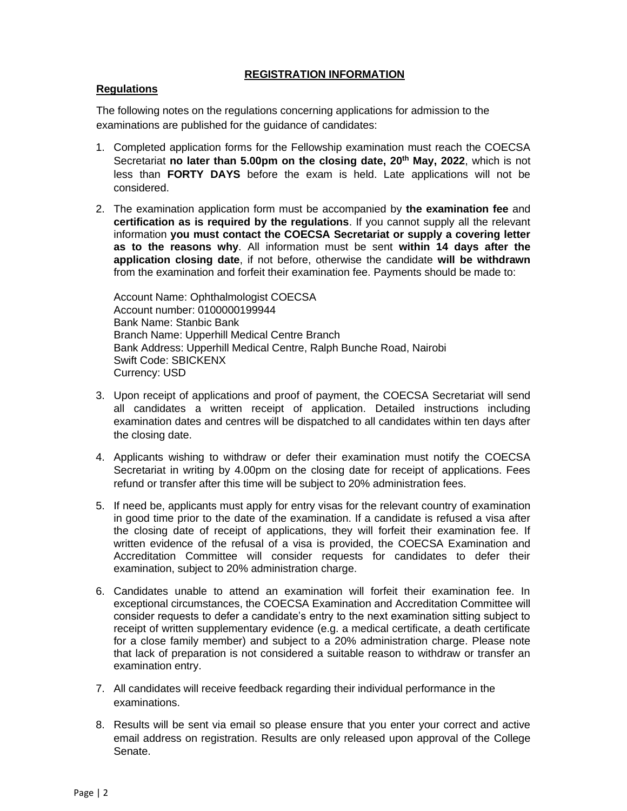### **REGISTRATION INFORMATION**

### **Regulations**

The following notes on the regulations concerning applications for admission to the examinations are published for the guidance of candidates:

- 1. Completed application forms for the Fellowship examination must reach the COECSA Secretariat **no later than 5.00pm on the closing date, 20 th May, 2022**, which is not less than **FORTY DAYS** before the exam is held. Late applications will not be considered.
- 2. The examination application form must be accompanied by **the examination fee** and **certification as is required by the regulations**. If you cannot supply all the relevant information **you must contact the COECSA Secretariat or supply a covering letter as to the reasons why**. All information must be sent **within 14 days after the application closing date**, if not before, otherwise the candidate **will be withdrawn**  from the examination and forfeit their examination fee. Payments should be made to:

Account Name: Ophthalmologist COECSA Account number: 0100000199944 Bank Name: Stanbic Bank Branch Name: Upperhill Medical Centre Branch Bank Address: Upperhill Medical Centre, Ralph Bunche Road, Nairobi Swift Code: SBICKENX Currency: USD

- 3. Upon receipt of applications and proof of payment, the COECSA Secretariat will send all candidates a written receipt of application. Detailed instructions including examination dates and centres will be dispatched to all candidates within ten days after the closing date.
- 4. Applicants wishing to withdraw or defer their examination must notify the COECSA Secretariat in writing by 4.00pm on the closing date for receipt of applications. Fees refund or transfer after this time will be subject to 20% administration fees.
- 5. If need be, applicants must apply for entry visas for the relevant country of examination in good time prior to the date of the examination. If a candidate is refused a visa after the closing date of receipt of applications, they will forfeit their examination fee. If written evidence of the refusal of a visa is provided, the COECSA Examination and Accreditation Committee will consider requests for candidates to defer their examination, subject to 20% administration charge.
- 6. Candidates unable to attend an examination will forfeit their examination fee. In exceptional circumstances, the COECSA Examination and Accreditation Committee will consider requests to defer a candidate's entry to the next examination sitting subject to receipt of written supplementary evidence (e.g. a medical certificate, a death certificate for a close family member) and subject to a 20% administration charge. Please note that lack of preparation is not considered a suitable reason to withdraw or transfer an examination entry.
- 7. All candidates will receive feedback regarding their individual performance in the examinations.
- 8. Results will be sent via email so please ensure that you enter your correct and active email address on registration. Results are only released upon approval of the College Senate.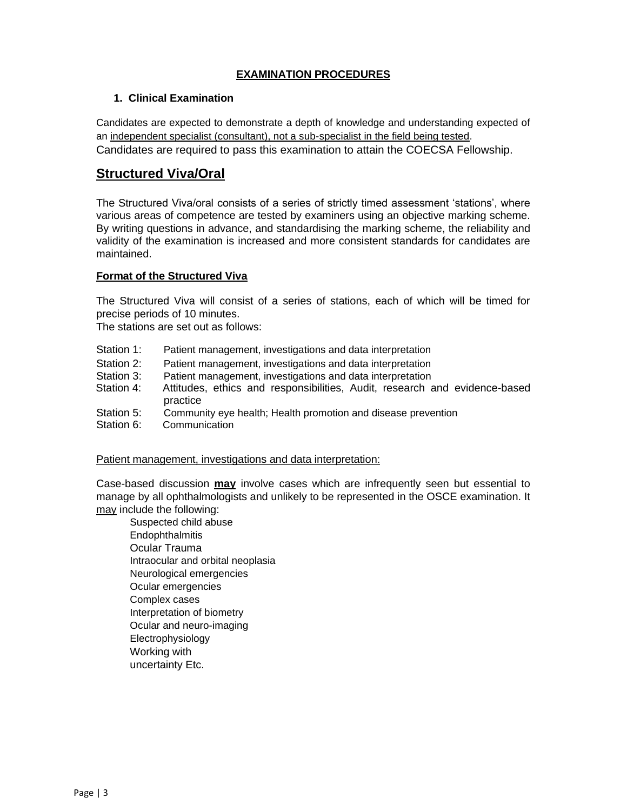## **EXAMINATION PROCEDURES**

### **1. Clinical Examination**

Candidates are expected to demonstrate a depth of knowledge and understanding expected of an independent specialist (consultant), not a sub-specialist in the field being tested. Candidates are required to pass this examination to attain the COECSA Fellowship.

# **Structured Viva/Oral**

The Structured Viva/oral consists of a series of strictly timed assessment 'stations', where various areas of competence are tested by examiners using an objective marking scheme. By writing questions in advance, and standardising the marking scheme, the reliability and validity of the examination is increased and more consistent standards for candidates are maintained.

### **Format of the Structured Viva**

The Structured Viva will consist of a series of stations, each of which will be timed for precise periods of 10 minutes.

The stations are set out as follows:

- Station 1: Patient management, investigations and data interpretation
- Station 2: Patient management, investigations and data interpretation
- Station 3: Patient management, investigations and data interpretation
- Station 4: Attitudes, ethics and responsibilities, Audit, research and evidence-based practice
- Station 5: Community eye health; Health promotion and disease prevention
- Station 6: Communication

Patient management, investigations and data interpretation:

Case-based discussion **may** involve cases which are infrequently seen but essential to manage by all ophthalmologists and unlikely to be represented in the OSCE examination. It may include the following:

Suspected child abuse **Endophthalmitis** Ocular Trauma Intraocular and orbital neoplasia Neurological emergencies Ocular emergencies Complex cases Interpretation of biometry Ocular and neuro-imaging Electrophysiology Working with uncertainty Etc.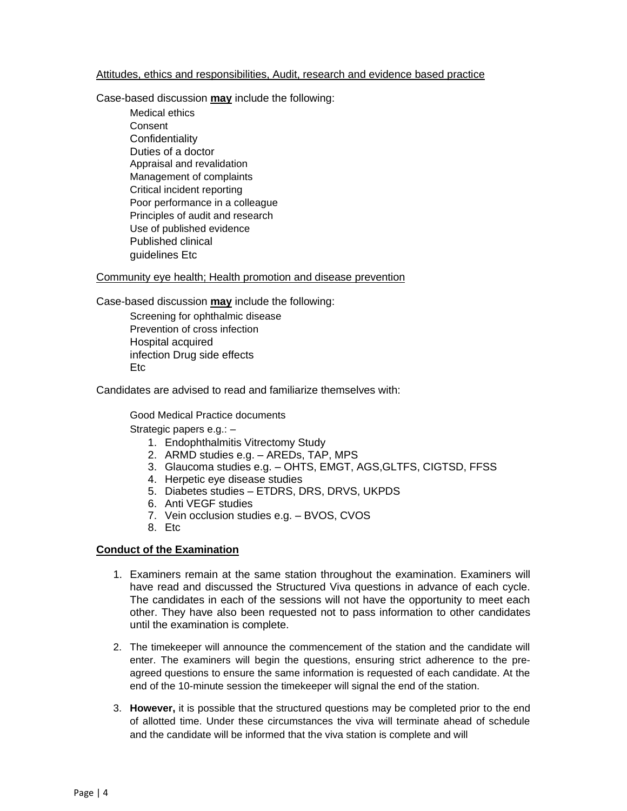#### Attitudes, ethics and responsibilities, Audit, research and evidence based practice

Case-based discussion **may** include the following:

Medical ethics Consent **Confidentiality** Duties of a doctor Appraisal and revalidation Management of complaints Critical incident reporting Poor performance in a colleague Principles of audit and research Use of published evidence Published clinical guidelines Etc

Community eye health; Health promotion and disease prevention

Case-based discussion **may** include the following:

Screening for ophthalmic disease Prevention of cross infection Hospital acquired infection Drug side effects Etc

Candidates are advised to read and familiarize themselves with:

Good Medical Practice documents

Strategic papers e.g.: –

- 1. Endophthalmitis Vitrectomy Study
- 2. ARMD studies e.g. AREDs, TAP, MPS
- 3. Glaucoma studies e.g. OHTS, EMGT, AGS,GLTFS, CIGTSD, FFSS
- 4. Herpetic eye disease studies
- 5. Diabetes studies ETDRS, DRS, DRVS, UKPDS
- 6. Anti VEGF studies
- 7. Vein occlusion studies e.g. BVOS, CVOS
- 8. Etc

#### **Conduct of the Examination**

- 1. Examiners remain at the same station throughout the examination. Examiners will have read and discussed the Structured Viva questions in advance of each cycle. The candidates in each of the sessions will not have the opportunity to meet each other. They have also been requested not to pass information to other candidates until the examination is complete.
- 2. The timekeeper will announce the commencement of the station and the candidate will enter. The examiners will begin the questions, ensuring strict adherence to the preagreed questions to ensure the same information is requested of each candidate. At the end of the 10-minute session the timekeeper will signal the end of the station.
- 3. **However,** it is possible that the structured questions may be completed prior to the end of allotted time. Under these circumstances the viva will terminate ahead of schedule and the candidate will be informed that the viva station is complete and will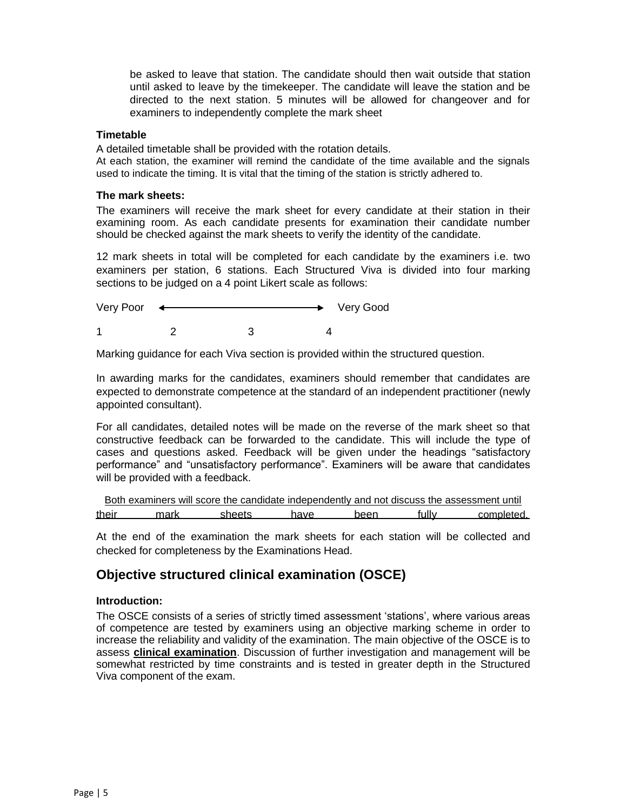be asked to leave that station. The candidate should then wait outside that station until asked to leave by the timekeeper. The candidate will leave the station and be directed to the next station. 5 minutes will be allowed for changeover and for examiners to independently complete the mark sheet

#### **Timetable**

A detailed timetable shall be provided with the rotation details.

At each station, the examiner will remind the candidate of the time available and the signals used to indicate the timing. It is vital that the timing of the station is strictly adhered to.

#### **The mark sheets:**

The examiners will receive the mark sheet for every candidate at their station in their examining room. As each candidate presents for examination their candidate number should be checked against the mark sheets to verify the identity of the candidate.

12 mark sheets in total will be completed for each candidate by the examiners i.e. two examiners per station, 6 stations. Each Structured Viva is divided into four marking sections to be judged on a 4 point Likert scale as follows:

| Very Poor      |  | Very Good |
|----------------|--|-----------|
| $\overline{A}$ |  |           |

Marking guidance for each Viva section is provided within the structured question.

In awarding marks for the candidates, examiners should remember that candidates are expected to demonstrate competence at the standard of an independent practitioner (newly appointed consultant).

For all candidates, detailed notes will be made on the reverse of the mark sheet so that constructive feedback can be forwarded to the candidate. This will include the type of cases and questions asked. Feedback will be given under the headings "satisfactory performance" and "unsatisfactory performance". Examiners will be aware that candidates will be provided with a feedback.

|       |      | Both examiners will score the candidate independently and not discuss the assessment until |      |      |       |            |
|-------|------|--------------------------------------------------------------------------------------------|------|------|-------|------------|
| their | mark | sheets                                                                                     | have | heen | fullv | completed. |

At the end of the examination the mark sheets for each station will be collected and checked for completeness by the Examinations Head.

## **Objective structured clinical examination (OSCE)**

### **Introduction:**

The OSCE consists of a series of strictly timed assessment 'stations', where various areas of competence are tested by examiners using an objective marking scheme in order to increase the reliability and validity of the examination. The main objective of the OSCE is to assess **clinical examination**. Discussion of further investigation and management will be somewhat restricted by time constraints and is tested in greater depth in the Structured Viva component of the exam.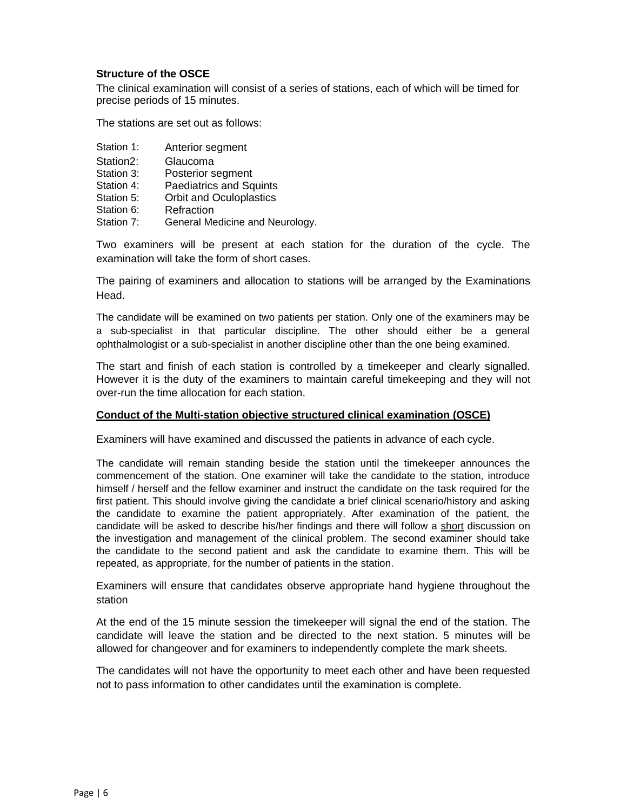### **Structure of the OSCE**

The clinical examination will consist of a series of stations, each of which will be timed for precise periods of 15 minutes.

The stations are set out as follows:

- Station 1: Anterior segment
- Station2: Glaucoma
- Station 3: Posterior segment
- Station 4: Paediatrics and Squints
- Station 5: Orbit and Oculoplastics
- Station 6: **Refraction**
- Station 7: General Medicine and Neurology.

Two examiners will be present at each station for the duration of the cycle. The examination will take the form of short cases.

The pairing of examiners and allocation to stations will be arranged by the Examinations Head.

The candidate will be examined on two patients per station. Only one of the examiners may be a sub-specialist in that particular discipline. The other should either be a general ophthalmologist or a sub-specialist in another discipline other than the one being examined.

The start and finish of each station is controlled by a timekeeper and clearly signalled. However it is the duty of the examiners to maintain careful timekeeping and they will not over-run the time allocation for each station.

#### **Conduct of the Multi-station objective structured clinical examination (OSCE)**

Examiners will have examined and discussed the patients in advance of each cycle.

The candidate will remain standing beside the station until the timekeeper announces the commencement of the station. One examiner will take the candidate to the station, introduce himself / herself and the fellow examiner and instruct the candidate on the task required for the first patient. This should involve giving the candidate a brief clinical scenario/history and asking the candidate to examine the patient appropriately. After examination of the patient, the candidate will be asked to describe his/her findings and there will follow a short discussion on the investigation and management of the clinical problem. The second examiner should take the candidate to the second patient and ask the candidate to examine them. This will be repeated, as appropriate, for the number of patients in the station.

Examiners will ensure that candidates observe appropriate hand hygiene throughout the station

At the end of the 15 minute session the timekeeper will signal the end of the station. The candidate will leave the station and be directed to the next station. 5 minutes will be allowed for changeover and for examiners to independently complete the mark sheets.

The candidates will not have the opportunity to meet each other and have been requested not to pass information to other candidates until the examination is complete.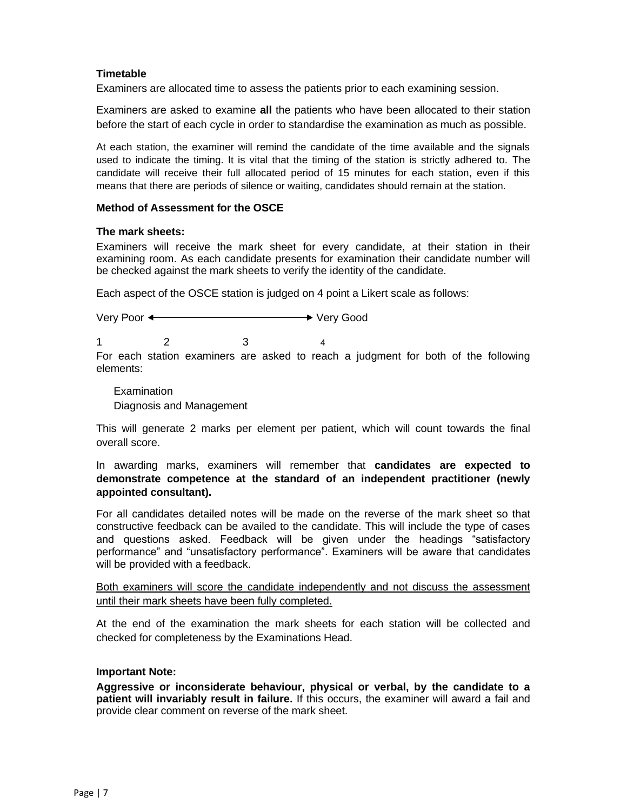### **Timetable**

Examiners are allocated time to assess the patients prior to each examining session.

Examiners are asked to examine **all** the patients who have been allocated to their station before the start of each cycle in order to standardise the examination as much as possible.

At each station, the examiner will remind the candidate of the time available and the signals used to indicate the timing. It is vital that the timing of the station is strictly adhered to. The candidate will receive their full allocated period of 15 minutes for each station, even if this means that there are periods of silence or waiting, candidates should remain at the station.

#### **Method of Assessment for the OSCE**

#### **The mark sheets:**

Examiners will receive the mark sheet for every candidate, at their station in their examining room. As each candidate presents for examination their candidate number will be checked against the mark sheets to verify the identity of the candidate.

Each aspect of the OSCE station is judged on 4 point a Likert scale as follows:

Very Poor < Network State State State State State State State State State State State State State State State State State State State State State State State State State State State State State State State State State Stat

1 2 3 4

For each station examiners are asked to reach a judgment for both of the following elements:

Examination Diagnosis and Management

This will generate 2 marks per element per patient, which will count towards the final overall score.

In awarding marks, examiners will remember that **candidates are expected to demonstrate competence at the standard of an independent practitioner (newly appointed consultant).**

For all candidates detailed notes will be made on the reverse of the mark sheet so that constructive feedback can be availed to the candidate. This will include the type of cases and questions asked. Feedback will be given under the headings "satisfactory performance" and "unsatisfactory performance". Examiners will be aware that candidates will be provided with a feedback.

Both examiners will score the candidate independently and not discuss the assessment until their mark sheets have been fully completed.

At the end of the examination the mark sheets for each station will be collected and checked for completeness by the Examinations Head.

#### **Important Note:**

**Aggressive or inconsiderate behaviour, physical or verbal, by the candidate to a patient will invariably result in failure.** If this occurs, the examiner will award a fail and provide clear comment on reverse of the mark sheet.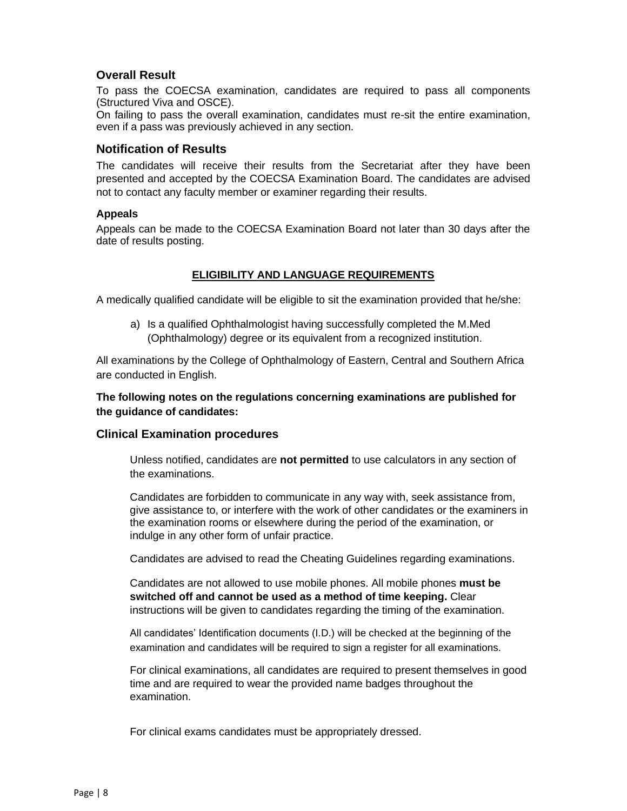### **Overall Result**

To pass the COECSA examination, candidates are required to pass all components (Structured Viva and OSCE).

On failing to pass the overall examination, candidates must re-sit the entire examination, even if a pass was previously achieved in any section.

### **Notification of Results**

The candidates will receive their results from the Secretariat after they have been presented and accepted by the COECSA Examination Board. The candidates are advised not to contact any faculty member or examiner regarding their results.

#### **Appeals**

Appeals can be made to the COECSA Examination Board not later than 30 days after the date of results posting.

### **ELIGIBILITY AND LANGUAGE REQUIREMENTS**

A medically qualified candidate will be eligible to sit the examination provided that he/she:

a) Is a qualified Ophthalmologist having successfully completed the M.Med (Ophthalmology) degree or its equivalent from a recognized institution.

All examinations by the College of Ophthalmology of Eastern, Central and Southern Africa are conducted in English.

**The following notes on the regulations concerning examinations are published for the guidance of candidates:**

### **Clinical Examination procedures**

Unless notified, candidates are **not permitted** to use calculators in any section of the examinations.

Candidates are forbidden to communicate in any way with, seek assistance from, give assistance to, or interfere with the work of other candidates or the examiners in the examination rooms or elsewhere during the period of the examination, or indulge in any other form of unfair practice.

Candidates are advised to read the Cheating Guidelines regarding examinations.

Candidates are not allowed to use mobile phones. All mobile phones **must be switched off and cannot be used as a method of time keeping.** Clear instructions will be given to candidates regarding the timing of the examination.

All candidates' Identification documents (I.D.) will be checked at the beginning of the examination and candidates will be required to sign a register for all examinations.

For clinical examinations, all candidates are required to present themselves in good time and are required to wear the provided name badges throughout the examination.

For clinical exams candidates must be appropriately dressed.